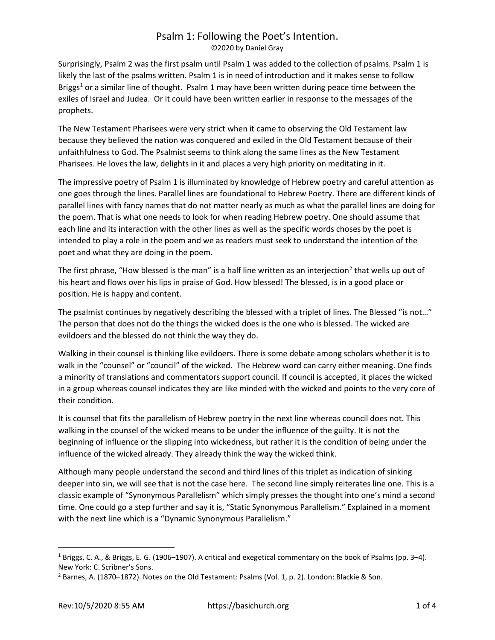# Psalm 1: Following the Poet's Intention.

©2020 by Daniel Gray

Surprisingly, Psalm 2 was the first psalm until Psalm 1 was added to the collection of psalms. Psalm 1 is likely the last of the psalms written. Psalm 1 is in need of introduction and it makes sense to follow Briggs<sup>1</sup> or a similar line of thought. Psalm 1 may have been written during peace time between the exiles of Israel and Judea. Or it could have been written earlier in response to the messages of the prophets.

The New Testament Pharisees were very strict when it came to observing the Old Testament law because they believed the nation was conquered and exiled in the Old Testament because of their unfaithfulness to God. The Psalmist seems to think along the same lines as the New Testament Pharisees. He loves the law, delights in it and places a very high priority on meditating in it.

The impressive poetry of Psalm 1 is illuminated by knowledge of Hebrew poetry and careful attention as one goes through the lines. Parallel lines are foundational to Hebrew Poetry. There are different kinds of parallel lines with fancy names that do not matter nearly as much as what the parallel lines are doing for the poem. That is what one needs to look for when reading Hebrew poetry. One should assume that each line and its interaction with the other lines as well as the specific words choses by the poet is intended to play a role in the poem and we as readers must seek to understand the intention of the poet and what they are doing in the poem.

The first phrase, "How blessed is the man" is a half line written as an interjection<sup>2</sup> that wells up out of his heart and flows over his lips in praise of God. How blessed! The blessed, is in a good place or position. He is happy and content.

The psalmist continues by negatively describing the blessed with a triplet of lines. The Blessed "is not…" The person that does not do the things the wicked does is the one who is blessed. The wicked are evildoers and the blessed do not think the way they do.

Walking in their counsel is thinking like evildoers. There is some debate among scholars whether it is to walk in the "counsel" or "council" of the wicked. The Hebrew word can carry either meaning. One finds a minority of translations and commentators support council. If council is accepted, it places the wicked in a group whereas counsel indicates they are like minded with the wicked and points to the very core of their condition.

It is counsel that fits the parallelism of Hebrew poetry in the next line whereas council does not. This walking in the counsel of the wicked means to be under the influence of the guilty. It is not the beginning of influence or the slipping into wickedness, but rather it is the condition of being under the influence of the wicked already. They already think the way the wicked think.

Although many people understand the second and third lines of this triplet as indication of sinking deeper into sin, we will see that is not the case here. The second line simply reiterates line one. This is a classic example of "Synonymous Parallelism" which simply presses the thought into one's mind a second time. One could go a step further and say it is, "Static Synonymous Parallelism." Explained in a moment with the next line which is a "Dynamic Synonymous Parallelism."

<sup>&</sup>lt;sup>1</sup> Briggs, C. A., & Briggs, E. G. (1906–1907). A critical and exegetical commentary on the book of Psalms (pp. 3–4). New York: C. Scribner's Sons.

<sup>&</sup>lt;sup>2</sup> Barnes, A. (1870–1872). Notes on the Old Testament: Psalms (Vol. 1, p. 2). London: Blackie & Son.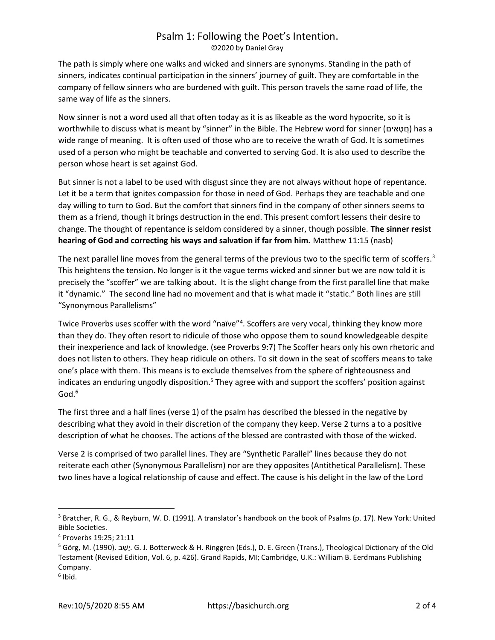#### Psalm 1: Following the Poet's Intention. ©2020 by Daniel Gray

The path is simply where one walks and wicked and sinners are synonyms. Standing in the path of sinners, indicates continual participation in the sinners' journey of guilt. They are comfortable in the company of fellow sinners who are burdened with guilt. This person travels the same road of life, the same way of life as the sinners.

Now sinner is not a word used all that often today as it is as likeable as the word hypocrite, so it is worthwhile to discuss what is meant by "sinner" in the Bible. The Hebrew word for sinner (חֲטָאִים) has a wide range of meaning. It is often used of those who are to receive the wrath of God. It is sometimes used of a person who might be teachable and converted to serving God. It is also used to describe the person whose heart is set against God.

But sinner is not a label to be used with disgust since they are not always without hope of repentance. Let it be a term that ignites compassion for those in need of God. Perhaps they are teachable and one day willing to turn to God. But the comfort that sinners find in the company of other sinners seems to them as a friend, though it brings destruction in the end. This present comfort lessens their desire to change. The thought of repentance is seldom considered by a sinner, though possible. The sinner resist hearing of God and correcting his ways and salvation if far from him. Matthew 11:15 (nasb)

The next parallel line moves from the general terms of the previous two to the specific term of scoffers.<sup>3</sup> This heightens the tension. No longer is it the vague terms wicked and sinner but we are now told it is precisely the "scoffer" we are talking about. It is the slight change from the first parallel line that make it "dynamic." The second line had no movement and that is what made it "static." Both lines are still "Synonymous Parallelisms"

Twice Proverbs uses scoffer with the word "naïve"<sup>4</sup>. Scoffers are very vocal, thinking they know more than they do. They often resort to ridicule of those who oppose them to sound knowledgeable despite their inexperience and lack of knowledge. (see Proverbs 9:7) The Scoffer hears only his own rhetoric and does not listen to others. They heap ridicule on others. To sit down in the seat of scoffers means to take one's place with them. This means is to exclude themselves from the sphere of righteousness and indicates an enduring ungodly disposition.<sup>5</sup> They agree with and support the scoffers' position against  $God.<sup>6</sup>$ 

The first three and a half lines (verse 1) of the psalm has described the blessed in the negative by describing what they avoid in their discretion of the company they keep. Verse 2 turns a to a positive description of what he chooses. The actions of the blessed are contrasted with those of the wicked.

Verse 2 is comprised of two parallel lines. They are "Synthetic Parallel" lines because they do not reiterate each other (Synonymous Parallelism) nor are they opposites (Antithetical Parallelism). These two lines have a logical relationship of cause and effect. The cause is his delight in the law of the Lord

<sup>&</sup>lt;sup>3</sup> Bratcher, R. G., & Reyburn, W. D. (1991). A translator's handbook on the book of Psalms (p. 17). New York: United Bible Societies.

<sup>4</sup> Proverbs 19:25; 21:11

<sup>5</sup> Görg, M. (1990). שׁבַ יָ. G. J. Botterweck & H. Ringgren (Eds.), D. E. Green (Trans.), Theological Dictionary of the Old Testament (Revised Edition, Vol. 6, p. 426). Grand Rapids, MI; Cambridge, U.K.: William B. Eerdmans Publishing Company.

<sup>6</sup> Ibid.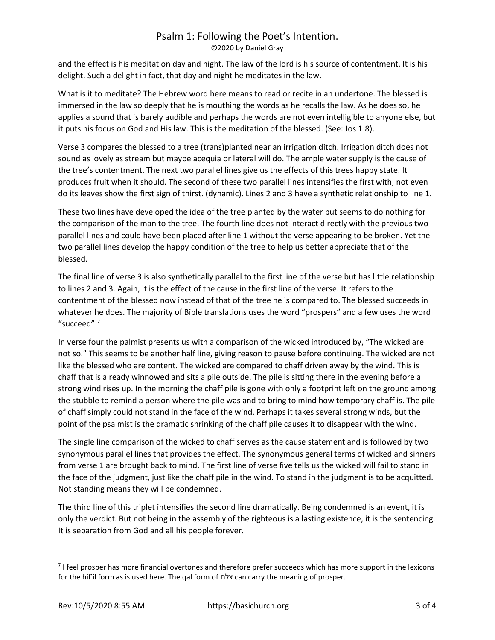## Psalm 1: Following the Poet's Intention.

©2020 by Daniel Gray

and the effect is his meditation day and night. The law of the lord is his source of contentment. It is his delight. Such a delight in fact, that day and night he meditates in the law.

What is it to meditate? The Hebrew word here means to read or recite in an undertone. The blessed is immersed in the law so deeply that he is mouthing the words as he recalls the law. As he does so, he applies a sound that is barely audible and perhaps the words are not even intelligible to anyone else, but it puts his focus on God and His law. This is the meditation of the blessed. (See: Jos 1:8).

Verse 3 compares the blessed to a tree (trans)planted near an irrigation ditch. Irrigation ditch does not sound as lovely as stream but maybe acequia or lateral will do. The ample water supply is the cause of the tree's contentment. The next two parallel lines give us the effects of this trees happy state. It produces fruit when it should. The second of these two parallel lines intensifies the first with, not even do its leaves show the first sign of thirst. (dynamic). Lines 2 and 3 have a synthetic relationship to line 1.

These two lines have developed the idea of the tree planted by the water but seems to do nothing for the comparison of the man to the tree. The fourth line does not interact directly with the previous two parallel lines and could have been placed after line 1 without the verse appearing to be broken. Yet the two parallel lines develop the happy condition of the tree to help us better appreciate that of the blessed.

The final line of verse 3 is also synthetically parallel to the first line of the verse but has little relationship to lines 2 and 3. Again, it is the effect of the cause in the first line of the verse. It refers to the contentment of the blessed now instead of that of the tree he is compared to. The blessed succeeds in whatever he does. The majority of Bible translations uses the word "prospers" and a few uses the word "succeed".<sup>7</sup>

In verse four the palmist presents us with a comparison of the wicked introduced by, "The wicked are not so." This seems to be another half line, giving reason to pause before continuing. The wicked are not like the blessed who are content. The wicked are compared to chaff driven away by the wind. This is chaff that is already winnowed and sits a pile outside. The pile is sitting there in the evening before a strong wind rises up. In the morning the chaff pile is gone with only a footprint left on the ground among the stubble to remind a person where the pile was and to bring to mind how temporary chaff is. The pile of chaff simply could not stand in the face of the wind. Perhaps it takes several strong winds, but the point of the psalmist is the dramatic shrinking of the chaff pile causes it to disappear with the wind.

The single line comparison of the wicked to chaff serves as the cause statement and is followed by two synonymous parallel lines that provides the effect. The synonymous general terms of wicked and sinners from verse 1 are brought back to mind. The first line of verse five tells us the wicked will fail to stand in the face of the judgment, just like the chaff pile in the wind. To stand in the judgment is to be acquitted. Not standing means they will be condemned.

The third line of this triplet intensifies the second line dramatically. Being condemned is an event, it is only the verdict. But not being in the assembly of the righteous is a lasting existence, it is the sentencing. It is separation from God and all his people forever.

<sup>&</sup>lt;sup>7</sup> I feel prosper has more financial overtones and therefore prefer succeeds which has more support in the lexicons for the hifʿil form as is used here. The qal form of צלח can carry the meaning of prosper.